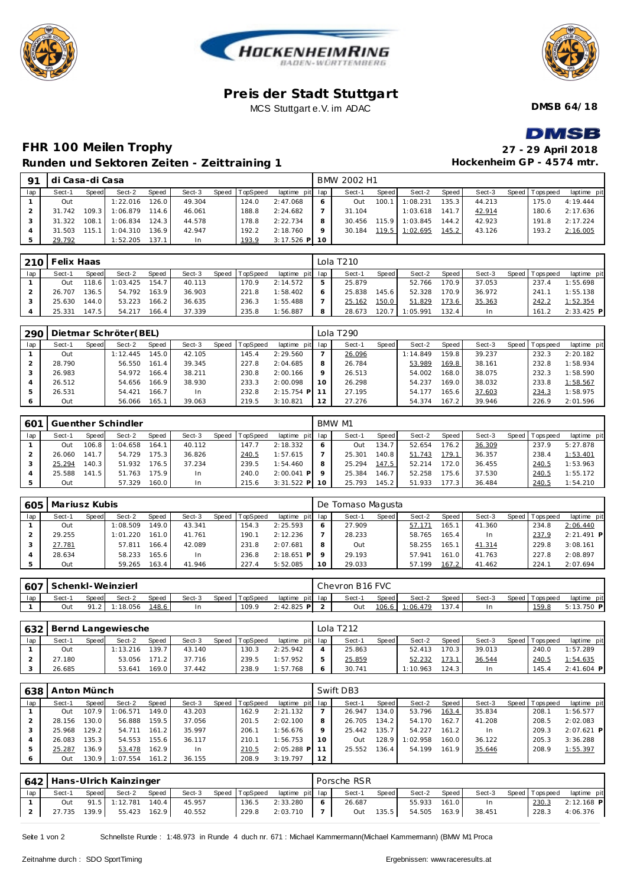





#### **Pre is der Stadt Stuttgart** MCS Stuttgart e.V. im ADAC

**DMSB 64/18**

**DMSB** 

## **FHR 100 Meilen Trophy 27 - 29 April 2018 Runden und Se**

29.792 1:52.205 137.1 In 193.9 3:17.526 **P**

31.503 115.1 1:04.310 136.9 42.947 192.2 2:18.760

|                |                 |       | Runden und Sektoren Zeiten - Zeittraining 1 |       |        |                |             |     |             |       |                |       | Hockenheim GP - 4574 mtr. |                 |             |
|----------------|-----------------|-------|---------------------------------------------|-------|--------|----------------|-------------|-----|-------------|-------|----------------|-------|---------------------------|-----------------|-------------|
| 91             | di Casa-di Casa |       |                                             |       |        |                |             |     | BMW 2002 H1 |       |                |       |                           |                 |             |
| lap            | Sect-1          | Speed | Sect-2                                      | Speed | Sect-3 | Speed TopSpeed | laptime pit | lap | Sect-1      | Speed | Sect-2         | Speed | Sect-3                    | Speed Tops peed | laptime pit |
|                | Out             |       | 1:22.016                                    | 126.0 | 49.304 | 124.0          | 2:47.068    | 6   | Out         | 100.1 | 1:08.231       | 135.3 | 44.213                    | 175.0           | 4:19.444    |
| $\overline{2}$ | 31.742          | 109.3 | 1:06.879                                    | 114.6 | 46.061 | 188.8          | 2:24.682    |     | 31.104      |       | 1:03.618       | 141.7 | 42.914                    | 180.6           | 2:17.636    |
| $\mathcal{E}$  | 31.322          | 108.1 | 1:06.834                                    | 124.3 | 44.578 | 178.8          | 2:22.734    | 8   | 30.456      |       | 115.9 1:03.845 | 144.2 | 42.923                    | 191.8           | 2:17.224    |
| $\overline{4}$ | 31.503 115.1    |       | 1:04.310                                    | 136.9 | 42.947 | 192.2          | 2:18.760    | 9   | 30.184      |       | 119.5 1:02.695 | 145.2 | 43.126                    | 193.2           | 2:16.005    |

|     | 210   Felix Haas |         |                |       |        |                |                 |   | Lola T210 |       |          |       |        |                 |              |
|-----|------------------|---------|----------------|-------|--------|----------------|-----------------|---|-----------|-------|----------|-------|--------|-----------------|--------------|
| lap | Sect-1           | Speed   | Sect-2         | Speed | Sect-3 | Speed TopSpeed | laptime pit lap |   | Sect-1    | Speed | Sect-2   | Speed | Sect-3 | Speed Tops peed | laptime pit  |
|     | Out              | 118.6 I | 1:03.425 154.7 |       | 40.113 | 170.9          | 2:14.572        | 5 | 25.879    |       | 52.766   | 170.9 | 37.053 | 237.4           | 1:55.698     |
|     | 26.707           | 136.5   | 54.792         | 163.9 | 36.903 | 221.8          | 1:58.402        | 6 | 25.838    | 145.6 | 52.328   | 170.9 | 36.972 | 241.1           | 1:55.138     |
|     | 25.630           | 144.0   | 53.223         | 166.2 | 36.635 | 236.3          | 1:55.488        |   | 25.162    | 150.0 | 51.829   | 173.6 | 35.363 | 242.2           | 1:52.354     |
|     | 25.331           | 147.5   | 54.217         | 166.4 | 37.339 | 235.8          | 1:56.887        | 8 | 28.673    | 120.7 | 1:05.991 | 132.4 | In.    | 161.2           | $2:33.425$ P |

| 290 |        |       | Dietmar Schröter(BEL) |       |        |       |          |                 |         | Lola T290 |       |          |       |        |                |             |
|-----|--------|-------|-----------------------|-------|--------|-------|----------|-----------------|---------|-----------|-------|----------|-------|--------|----------------|-------------|
| lap | Sect-1 | Speed | Sect-2                | Speed | Sect-3 | Speed | TopSpeed | laptime pit lap |         | Sect-1    | Speed | Sect-2   | Speed | Sect-3 | Speed Topspeed | laptime pit |
|     | Out    |       | 1:12.445              | 145.0 | 42.105 |       | 145.4    | 2:29.560        |         | 26.096    |       | 1:14.849 | 159.8 | 39.237 | 232.3          | 2:20.182    |
|     | 28.790 |       | 56.550                | 161.4 | 39.345 |       | 227.8    | 2:04.685        | 8       | 26.784    |       | 53.989   | 169.8 | 38.161 | 232.8          | 1:58.934    |
|     | 26.983 |       | 54.972                | 166.4 | 38.211 |       | 230.8    | 2:00.166        | $\circ$ | 26.513    |       | 54.002   | 168.0 | 38.075 | 232.3          | 1:58.590    |
|     | 26.512 |       | 54.656                | 166.9 | 38.930 |       | 233.3    | 2:00.098        | 10      | 26.298    |       | 54.237   | 169.0 | 38.032 | 233.8          | 1:58.567    |
|     | 26.531 |       | 54.421                | 166.7 | In.    |       | 232.8    | $2:15.754$ P    |         | 27.195    |       | 54.177   | 165.6 | 37.603 | 234.3          | 1:58.975    |
|     | Out    |       | 56.066                | 165.1 | 39.063 |       | 219.5    | 3:10.821        |         | 27.276    |       | 54.374   | 167.2 | 39.946 | 226.9          | 2:01.596    |

| 601 |        |           | Guenther Schindler |       |           |       |          |                |         | BMW M1 |       |        |       |        |                   |             |
|-----|--------|-----------|--------------------|-------|-----------|-------|----------|----------------|---------|--------|-------|--------|-------|--------|-------------------|-------------|
| lap | Sect-1 | Speed     | Sect-2             | Speed | Sect-3    | Speed | TopSpeed | laptime pit    | lap     | Sect-1 | Speed | Sect-2 | Speed | Sect-3 | Speed   Tops peed | laptime pit |
|     | Out    | 106.8     | 1:04.658           | 164.7 | 40.112    |       | 147.7    | 2:18.332       | 6       | Out    | 134.7 | 52.654 | 176.2 | 36.309 | 237.9             | 5:27.878    |
|     | 26.060 | 141       | 54.729             | 175.3 | 36.826    |       | 240.5    | 1:57.615       |         | 25.301 | 140.8 | 51.743 | 179.1 | 36.357 | 238.4             | 1:53.401    |
|     | 25.294 | 140.3     | 51.932             | 176.5 | 37.234    |       | 239.5    | 1:54.460       | 8       | 25.294 | 147.5 | 52.214 | 172.0 | 36.455 | 240.5             | 1:53.963    |
|     | 25.588 | 141<br>-5 | 51.763             | 175.9 | In        |       | 240.0    | 2:00.041<br>PI | $\circ$ | 25.384 | 146.7 | 52.258 | 175.6 | 37.530 | 240.5             | 1:55.172    |
|     | Out    |           | 57.329             | 160.0 | <b>In</b> |       | 215.6    | $3:31.522$ P   | 10      | 25.793 | 145.2 | 51.933 | 177.3 | 36.484 | 240.5             | 1:54.210    |

| 605 | Mariusz Kubis |       |          |       |        |                |                 |    | De Tomaso Magusta |         |        |       |        |                |              |
|-----|---------------|-------|----------|-------|--------|----------------|-----------------|----|-------------------|---------|--------|-------|--------|----------------|--------------|
| lap | Sect-1        | Speed | Sect-2   | Speed | Sect-3 | Speed TopSpeed | laptime pit lap |    | Sect-1            | Speed I | Sect-2 | Speed | Sect-3 | Speed Topspeed | laptime pit  |
|     | Out           |       | 1:08.509 | 149.0 | 43.341 | 154.3          | 2:25.593        | 6  | 27.909            |         | 57.171 | 165.1 | 41.360 | 234.8          | 2:06.440     |
|     | 29.255        |       | 1:01.220 | 161.0 | 41.761 | 190.1          | 2:12.236        |    | 28.233            |         | 58.765 | 165.4 | In     | 237.9          | $2:21.491$ P |
|     | 27.781        |       | 57.811   | 166.4 | 42.089 | 231.8          | 2:07.681        | 8  | Out               |         | 58.255 | 165.1 | 41.314 | 229.8          | 3:08.161     |
|     | 28.634        |       | 58.233   | 165.6 | In     | 236.8          | $2:18.651$ P    |    | 29.193            |         | 57.941 | 161.0 | 41.763 | 227.8          | 2:08.897     |
|     | Out           |       | 59.265   | 163.4 | 41.946 | 227.4          | 5:52.085        | 10 | 29.033            |         | 57.199 | 167.2 | 41.462 | 224.7          | 2:07.694     |

| 607 |        |              | Schenkl-Weinzierl |       |        |                |                 | Chevron B16 FVC |       |          |       |        |                 |             |
|-----|--------|--------------|-------------------|-------|--------|----------------|-----------------|-----------------|-------|----------|-------|--------|-----------------|-------------|
| lap | Sect-1 | <b>Speed</b> | Sect-2            | Speed | Sect-3 | Speed TopSpeed | laptime pit lap | Sect-1          | Speed | Sect-2   | Speed | Sect-3 | Speed Tops peed | laptime pit |
|     | Out    |              | 1:18.056          | 148.6 |        | 109.9          | $2:42.825$ P    | Out             | 106.6 | 1:06.479 | 137   |        | 159.8           | 5:13.750 P  |

|     |        |              | 632   Bernd Langewiesche |              |        |       |          |                 |   | Lola T212 |              |          |       |        |                |              |
|-----|--------|--------------|--------------------------|--------------|--------|-------|----------|-----------------|---|-----------|--------------|----------|-------|--------|----------------|--------------|
| lap | Sect-1 | <b>Speed</b> | Sect-2                   | <b>Speed</b> | Sect-3 | Speed | TopSpeed | laptime pit lap |   | Sect-1    | <b>Speed</b> | Sect-2   | Speed | Sect-3 | Speed Topspeed | laptime pit  |
|     | Out    |              | 1:13.216                 | 139.7        | 43.140 |       | 130.3    | 2:25.942        |   | 25.863    |              | 52.413   | 170.3 | 39.013 | 240.0          | 1:57.289     |
|     | 27.180 |              | 53.056                   | 171.2        | 37.716 |       | 239.5    | 1:57.952        |   | 25.859    |              | 52.232   | 173.1 | 36.544 | 240.5          | 1:54.635     |
|     | 26.685 |              | 53.641                   | 169.0        | 37.442 |       | 238.9    | 1:57.768        | 6 | 30.741    |              | 1:10.963 | 124.3 | ln.    | 145.4          | $2:41.604$ P |

| 638 | Anton Münch |        |          |       |        |       |          |                 |    | Swift DB3 |       |          |       |        |                 |              |
|-----|-------------|--------|----------|-------|--------|-------|----------|-----------------|----|-----------|-------|----------|-------|--------|-----------------|--------------|
| lap | Sect-1      | Speed  | Sect-2   | Speed | Sect-3 | Speed | TopSpeed | laptime pit lap |    | Sect-1    | Speed | Sect-2   | Speed | Sect-3 | Speed Tops peed | laptime pit  |
|     | Out         | 107.9  | 1:06.571 | 149.0 | 43.203 |       | 162.9    | 2:21.132        |    | 26.947    | 134.0 | 53.796   | 163.4 | 35.834 | 208.            | 1:56.577     |
|     | 28.156      | 130.01 | 56.888   | 159.5 | 37.056 |       | 201.5    | 2:02.100        | 8  | 26.705    | 134.2 | 54.170   | 162.7 | 41.208 | 208.5           | 2:02.083     |
|     | 25.968      | 129.2  | 54.711   | 161.2 | 35.997 |       | 206.7    | 1:56.676        |    | 25.442    | 135.7 | 54.227   | 161.2 | In     | 209.3           | $2:07.621$ P |
|     | 26.083      | 135.31 | 54.553   | 155.6 | 36.117 |       | 210.1    | 1:56.753        | 10 | Out       | 128.9 | 1:02.958 | 160.0 | 36.122 | 205.3           | 3:36.288     |
|     | 25.287      | 36.9   | 53.478   | 162.9 | In     |       | 210.5    | $2:05.288$ P    |    | 25.552    | 136.4 | 54.199   | 161.9 | 35.646 | 208.9           | 1:55.397     |
|     | Out         | 30.9   | 1:07.554 | 161.2 | 36.155 |       | 208.9    | 3:19.797        | 12 |           |       |          |       |        |                 |              |

|     |              |       | 642   Hans-Ulrich Kainzinger |       |        |                |                 |            | Porsche RSR |       |        |       |        |                |              |
|-----|--------------|-------|------------------------------|-------|--------|----------------|-----------------|------------|-------------|-------|--------|-------|--------|----------------|--------------|
| lap | Sect-1       | Speed | Sect-2                       | Speed | Sect-3 | Speed TopSpeed | laptime pit lap |            | Sect-1      | Speed | Sect-2 | Speed | Sect-3 | Speed Topspeed | laptime pit  |
|     | Out          |       | 91.5 1:12.781                | 140.4 | 45.957 | 136.5          | 2:33.280        | $\epsilon$ | 26.687      |       | 55.933 | 161.0 | In     | 230.3          | $2:12.168$ P |
|     | 27.735 139.9 |       | $55.423$ $162.9$             |       | 40.552 | 229.8          | 2:03.710        |            | Out         | 135.5 | 54.505 | 163.9 | 38.451 | 228.3          | 4:06.376     |

Seite 1 von 2 Schnellste Runde : 1:48.973 in Runde 4 duch nr. 671 : Michael Kammermann(Michael Kammermann) (BMW M1 Proca